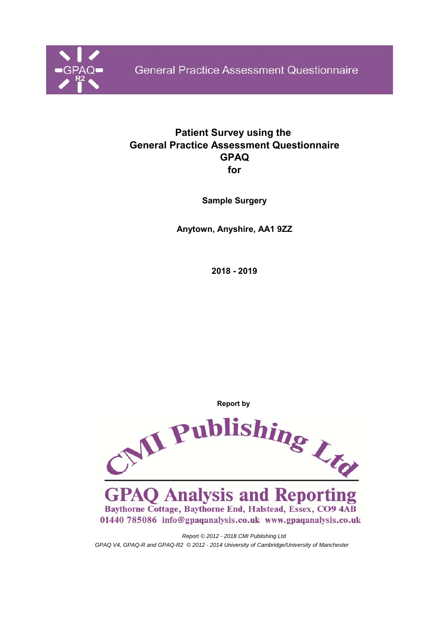

## **Patient Survey using the General Practice Assessment Questionnaire GPAQ for**

**Sample Surgery**

**Anytown, Anyshire, AA1 9ZZ**

**2018 - 2019**

**Report by** 



*Report © 2012 - 2018 CMI Publishing Ltd GPAQ V4, GPAQ-R and GPAQ-R2 © 2012 - 2014 University of Cambridge/University of Manchester*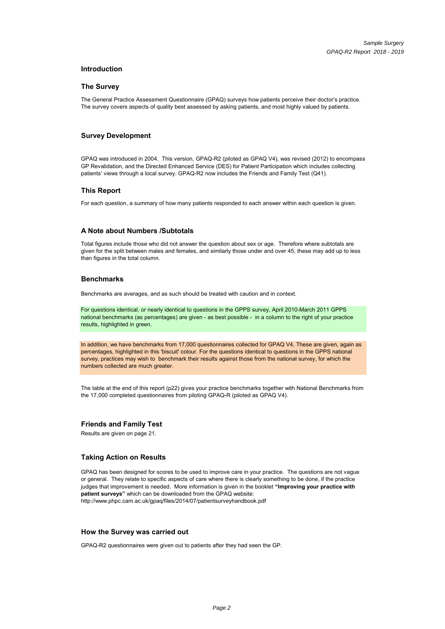#### **Introduction**

#### **The Survey**

The General Practice Assessment Questionnaire (GPAQ) surveys how patients perceive their doctor's practice. The survey covers aspects of quality best assessed by asking patients, and most highly valued by patients.

#### **Survey Development**

GPAQ was introduced in 2004. This version, GPAQ-R2 (piloted as GPAQ V4), was revised (2012) to encompass GP Revalidation, and the Directed Enhanced Service (DES) for Patient Participation which includes collecting patients' views through a local survey. GPAQ-R2 now includes the Friends and Family Test (Q41).

#### **This Report**

For each question, a summary of how many patients responded to each answer within each question is given.

#### **A Note about Numbers /Subtotals**

Total figures include those who did not answer the question about sex or age. Therefore where subtotals are given for the split between males and females, and similarly those under and over 45, these may add up to less than figures in the total column.

#### **Benchmarks**

Benchmarks are averages, and as such should be treated with caution and in context.

For questions identical, or nearly identical to questions in the GPPS survey, April 2010-March 2011 GPPS national benchmarks (as percentages) are given - as best possible - in a column to the right of your practice results, highlighted in green.

In addition, we have benchmarks from 17,000 questionnaires collected for GPAQ V4, These are given, again as percentages, highlighted in this 'biscuit' colour. For the questions identical to questions in the GPPS national survey, practices may wish to benchmark their results against those from the national survey, for which the numbers collected are much greater.

The table at the end of this report (p22) gives your practice benchmarks together with National Benchmarks from the 17,000 completed questionnaires from piloting GPAQ-R (piloted as GPAQ V4).

#### **Friends and Family Test**

Results are given on page 21.

#### **Taking Action on Results**

GPAQ has been designed for scores to be used to improve care in your practice. The questions are not vague or general. They relate to specific aspects of care where there is clearly something to be done, if the practice judges that improvement is needed. More information is given in the booklet **"Improving your practice with patient surveys"** which can be downloaded from the GPAQ website: http://www.phpc.cam.ac.uk/gpaq/files/2014/07/patientsurveyhandbook.pdf

#### **How the Survey was carried out**

GPAQ-R2 questionnaires were given out to patients after they had seen the GP.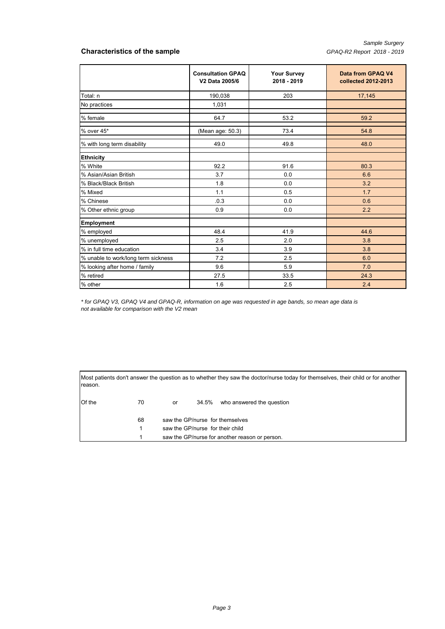#### **Characteristics of the sample** *GPAQ-R2 Report 2018 - 2019*

|                                     | <b>Consultation GPAQ</b><br>V2 Data 2005/6 | <b>Your Survey</b><br>2018 - 2019 | Data from GPAQ V4<br>collected 2012-2013 |
|-------------------------------------|--------------------------------------------|-----------------------------------|------------------------------------------|
| Total: n                            | 190,038                                    | 203                               | 17,145                                   |
| No practices                        | 1,031                                      |                                   |                                          |
| % female                            | 64.7                                       | 53.2                              | 59.2                                     |
| % over 45*                          | (Mean age: 50.3)                           | 73.4                              | 54.8                                     |
| % with long term disability         | 49.0                                       | 49.8                              | 48.0                                     |
| <b>Ethnicity</b>                    |                                            |                                   |                                          |
| % White                             | 92.2                                       | 91.6                              | 80.3                                     |
| % Asian/Asian British               | 3.7                                        | 0.0                               | 6.6                                      |
| % Black/Black British               | 1.8                                        | 0.0                               | 3.2                                      |
| % Mixed                             | 1.1                                        | 0.5                               | 1.7                                      |
| % Chinese                           | .0.3                                       | 0.0                               | 0.6                                      |
| % Other ethnic group                | 0.9                                        | 0.0                               | 2.2                                      |
| <b>Employment</b>                   |                                            |                                   |                                          |
| % employed                          | 48.4                                       | 41.9                              | 44.6                                     |
| % unemployed                        | 2.5                                        | 2.0                               | 3.8                                      |
| % in full time education            | 3.4                                        | 3.9                               | 3.8                                      |
| % unable to work/long term sickness | 7.2                                        | 2.5                               | 6.0                                      |
| % looking after home / family       | 9.6                                        | 5.9                               | 7.0                                      |
| % retired                           | 27.5                                       | 33.5                              | 24.3                                     |
| % other                             | 1.6                                        | 2.5                               | 2.4                                      |

*\* for GPAQ V3, GPAQ V4 and GPAQ-R, information on age was requested in age bands, so mean age data is not available for comparison with the V2 mean* 1.6 2.5 2.4<br>1.6 2.5 2.4<br>1.6 2.6 2.4<br>The GPAQ V3, GPAQ V4 and GPAQ-R, information on age was requested in age bands, so mean age data is<br>1.6 2.4<br>2.4 anot available for comparison with the V2 mean<br>1.6 2.7 means of another th

Most patients don't answer the question as to whether they saw the doctor/nurse today for themselves, their child or for another reason.

| Of the | 70 | or |                                  | 34.5% who answered the question                |  |  |  |
|--------|----|----|----------------------------------|------------------------------------------------|--|--|--|
|        | 68 |    |                                  | saw the GP/nurse for themselves                |  |  |  |
|        |    |    | saw the GP/nurse for their child |                                                |  |  |  |
|        |    |    |                                  | saw the GP/nurse for another reason or person. |  |  |  |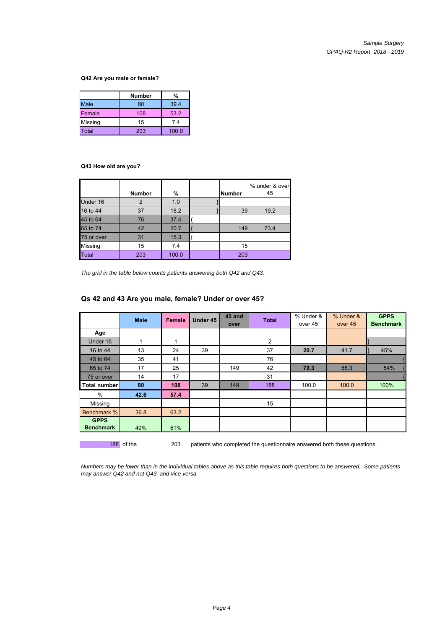#### **Q42 Are you male or female?**

|                   | Number | %     |
|-------------------|--------|-------|
| Male              | 80     | 39.4  |
| Female            | 108    | 53.2  |
| Missing           | 15     | 7.4   |
| otal <sup>-</sup> | 203    | 100.0 |

#### **Q43 How old are you?**

|              | <b>Number</b> | %     | <b>Number</b> | % under & over<br>45 |
|--------------|---------------|-------|---------------|----------------------|
| Under 16     |               | 1.0   |               |                      |
| 16 to 44     | 37            | 18.2  | 39            | 19.2                 |
| 45 to 64     | 76            | 37.4  |               |                      |
| 65 to 74     | 42            | 20.7  | 149           | 73.4                 |
| 75 or over   | 31            | 15.3  |               |                      |
| Missing      | 15            | 7.4   | 15            |                      |
| <b>Total</b> | 203           | 100.0 | 203           |                      |

*The grid in the table below counts patients answering both Q42 and Q43.*

|                                 | <b>Male</b> | <b>Female</b> | Under 45 | 45 and<br>over | <b>Total</b> | % Under &<br>over 45 | % Under &<br>over 45 | <b>GPPS</b><br><b>Benchmark</b> |
|---------------------------------|-------------|---------------|----------|----------------|--------------|----------------------|----------------------|---------------------------------|
| Age                             |             |               |          |                |              |                      |                      |                                 |
| Under 16                        |             | 1             |          |                | 2            |                      |                      |                                 |
| 16 to 44                        | 13          | 24            | 39       |                | 37           | 20.7                 | 41.7                 | 45%                             |
| 45 to 64                        | 35          | 41            |          |                | 76           |                      |                      |                                 |
| 65 to 74                        | 17          | 25            |          | 149            | 42           | 79.3                 | 58.3                 | 54%                             |
| 75 or over                      | 14          | 17            |          |                | 31           |                      |                      |                                 |
| <b>Total number</b>             | 80          | 108           | 39       | 149            | 188          | 100.0                | 100.0                | 100%                            |
| $\%$                            | 42.6        | 57.4          |          |                |              |                      |                      |                                 |
| Missing                         |             |               |          |                | 15           |                      |                      |                                 |
| Benchmark %                     | 36.8        | 63.2          |          |                |              |                      |                      |                                 |
| <b>GPPS</b><br><b>Benchmark</b> | 49%         | 51%           |          |                |              |                      |                      |                                 |

#### **Qs 42 and 43 Are you male, female? Under or over 45?**

*Numbers may be lower than in the individual tables above as this table requires both questions to be answered. Some patients may answer Q42 and not Q43, and vice versa.*

188 of the 203 patients who completed the questionnaire answered both these questions.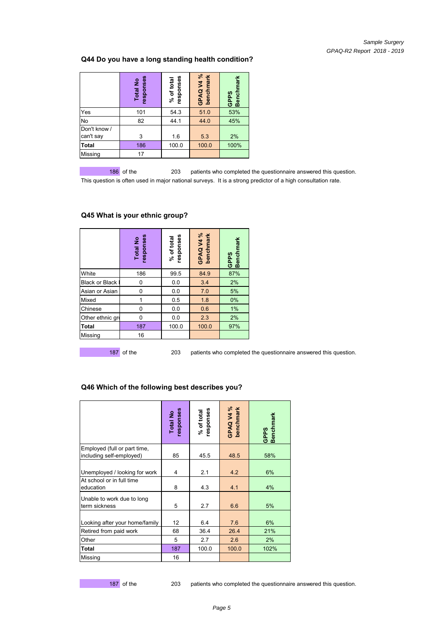#### **Q44 Do you have a long standing health condition?**

|                           | responses<br><b>Total No</b> | responses<br>% of total | GPAQ V4 %<br>benchmark | <b>Benchmark</b><br><b>GPPS</b> |
|---------------------------|------------------------------|-------------------------|------------------------|---------------------------------|
| Yes                       | 101                          | 54.3                    | 51.0                   | 53%                             |
| No                        | 82                           | 44.1                    | 44.0                   | 45%                             |
| Don't know /<br>can't say | 3                            | 1.6                     | 5.3                    | 2%                              |
| Total                     | 186                          | 100.0                   | 100.0                  | 100%                            |
| Missing                   | 17                           |                         |                        |                                 |

186 of the 203 patients who completed the questionnaire answered this question. This question is often used in major national surveys. It is a strong predictor of a high consultation rate.

|                       | responses<br><b>Total No</b> | responses<br>% of total | GPAQ V4 %<br>benchmark | GPPS<br>Benchmark |
|-----------------------|------------------------------|-------------------------|------------------------|-------------------|
| White                 | 186                          | 99.5                    | 84.9                   | 87%               |
| <b>Black or Black</b> | 0                            | 0.0                     | 3.4                    | 2%                |
| Asian or Asian        | 0                            | 0.0                     | 7.0                    | 5%                |
| Mixed                 |                              | 0.5                     | 1.8                    | 0%                |
| Chinese               | 0                            | 0.0                     | 0.6                    | 1%                |
| Other ethnic gro      | 0                            | 0.0                     | 2.3                    | 2%                |
| <b>Total</b>          | 187                          | 100.0                   | 100.0                  | 97%               |
| Missing               | 16                           |                         |                        |                   |

#### **Q45 What is your ethnic group?**

187 of the 203 patients who completed the questionnaire answered this question.

|                                                                         | responses<br>Total No | responses<br>% of total | GPAQV4%<br>benchmark | <b>Benchmark</b><br><b>GPPS</b> |
|-------------------------------------------------------------------------|-----------------------|-------------------------|----------------------|---------------------------------|
| Employed (full or part time,<br>including self-employed)                | 85                    | 45.5                    | 48.5                 | 58%                             |
| Unemployed / looking for work<br>At school or in full time<br>education | 4<br>8                | 2.1<br>4.3              | 4.2<br>4.1           | 6%<br>4%                        |
| Unable to work due to long<br>term sickness                             | 5                     | 2.7                     | 6.6                  | 5%                              |
| Looking after your home/family                                          | 12                    | 6.4                     | 7.6                  | 6%                              |
| Retired from paid work                                                  | 68                    | 36.4                    | 26.4                 | 21%                             |
| Other                                                                   | 5                     | 2.7                     | 2.6                  | 2%                              |
| <b>Total</b>                                                            | 187                   | 100.0                   | 100.0                | 102%                            |
| Missing                                                                 | 16                    |                         |                      |                                 |

#### **Q46 Which of the following best describes you?**

187 of the 203 patients who completed the questionnaire answered this question.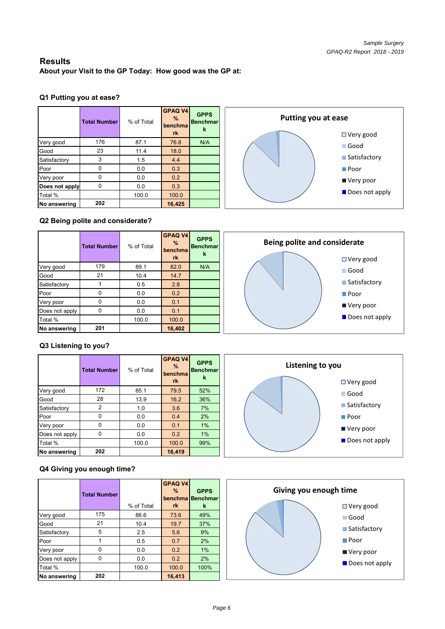## **Results**

**About your Visit to the GP Today: How good was the GP at:**

## **Q1 Putting you at ease?**

|                | <b>Total Number</b> | % of Total | <b>GPAQ V4</b><br>$\%$<br>benchma<br>rk | <b>GPPS</b><br><b>Benchmar</b><br>k |
|----------------|---------------------|------------|-----------------------------------------|-------------------------------------|
| Very good      | 176                 | 87.1       | 76.8                                    | N/A                                 |
| Good           | 23                  | 11.4       | 18.0                                    |                                     |
| Satisfactory   | 3                   | 1.5        | 4.4                                     |                                     |
| Poor           | 0                   | 0.0        | 0.3                                     |                                     |
| Very poor      | U                   | 0.0        | 0.2                                     |                                     |
| Does not apply | U                   | 0.0        | 0.3                                     |                                     |
| Total %        |                     | 100.0      | 100.0                                   |                                     |
| No answering   | 202                 |            | 16,425                                  |                                     |

**Putting you at ease** Very good Good **Satisfactory** ■ Poor ■ Very poor Does not apply

## **Q2 Being polite and considerate?**

|                | <b>Total Number</b> | % of Total | <b>GPAQ V4</b><br>$\%$<br>benchmal<br><b>rk</b> | <b>GPPS</b><br>Benchmar<br>k | Being polite and considerate<br>$\Box$ Very good |
|----------------|---------------------|------------|-------------------------------------------------|------------------------------|--------------------------------------------------|
| Very good      | 179                 | 89.1       | 82.0                                            | N/A                          | <b>■ Good</b>                                    |
| Good           | 21                  | 10.4       | 14.7                                            |                              |                                                  |
| Satisfactory   |                     | 0.5        | 2.8                                             |                              | ■ Satisfactory                                   |
| Poor           | 0                   | 0.0        | 0.2                                             |                              | $\blacksquare$ Poor                              |
| Very poor      | 0                   | 0.0        | 0.1                                             |                              |                                                  |
| Does not apply | 0                   | 0.0        | 0.1                                             |                              | ■ Very poor                                      |
| Total %        |                     | 100.0      | 100.0                                           |                              | Does not apply                                   |
| No answering   | 201                 |            | 16,402                                          |                              |                                                  |

## **Q3 Listening to you?**

|                | <b>Total Number</b> | % of Total | <b>GPAQ V4</b><br>$\%$<br>benchma | <b>GPPS</b><br><b>Benchmar</b><br>k | Listening to you |                               |
|----------------|---------------------|------------|-----------------------------------|-------------------------------------|------------------|-------------------------------|
|                |                     |            | rk                                |                                     |                  | $\Box$ Very good              |
| Very good      | 172                 | 85.1       | 79.5                              | 52%                                 |                  | $\Box$ Good                   |
| Good           | 28                  | 13.9       | 16.2                              | 36%                                 |                  |                               |
| Satisfactory   | 2                   | 1.0        | 3.6                               | 7%                                  |                  | ■ Satisfactory                |
| Poor           |                     | 0.0        | 0.4                               | 2%                                  |                  | $\blacksquare$ Poor           |
| Very poor      | $\Omega$            | 0.0        | 0.1                               | 1%                                  |                  | ■ Very poor                   |
| Does not apply | 0                   | 0.0        | 0.2                               | 1%                                  |                  |                               |
| Total %        |                     | 100.0      | 100.0                             | 99%                                 |                  | $\blacksquare$ Does not apply |
| No answering   | 202                 |            | 16,419                            |                                     |                  |                               |

## **Q4 Giving you enough time?**

|                | <b>Total Number</b> | % of Total | <b>GPAQ V4</b><br>$\%$<br>benchma<br>rk | <b>GPPS</b><br><b>Benchmar</b><br>k |
|----------------|---------------------|------------|-----------------------------------------|-------------------------------------|
| Very good      | 175                 | 86.6       | 73.6                                    | 49%                                 |
| Good           | 21                  | 10.4       | 19.7                                    | 37%                                 |
| Satisfactory   | 5                   | 2.5        | 5.6                                     | 9%                                  |
| Poor           |                     | 0.5        | 0.7                                     | 2%                                  |
| Very poor      | N                   | 0.0        | 0.2                                     | 1%                                  |
| Does not apply | n                   | 0.0        | 0.2                                     | 2%                                  |
| Total %        |                     | 100.0      | 100.0                                   | 100%                                |
| No answering   | 202                 |            | 16,413                                  |                                     |

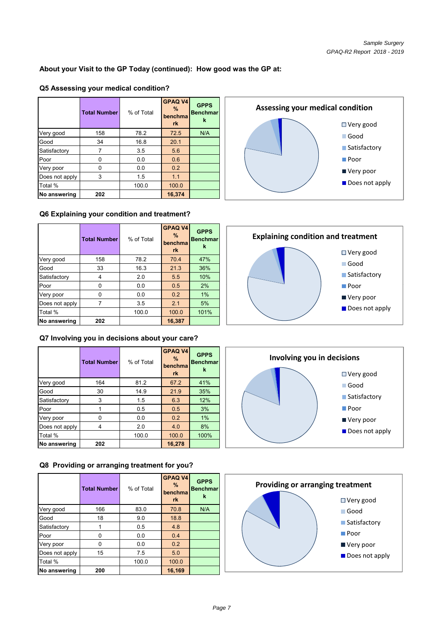## **About your Visit to the GP Today (continued): How good was the GP at:**

#### **Q5 Assessing your medical condition?**

|                | <b>Total Number</b> | % of Total | <b>GPAQ V4</b><br>$\%$<br>benchma<br>rk | <b>GPPS</b><br><b>Benchmar</b><br>k |
|----------------|---------------------|------------|-----------------------------------------|-------------------------------------|
| Very good      | 158                 | 78.2       | 72.5                                    | N/A                                 |
| Good           | 34                  | 16.8       | 20.1                                    |                                     |
| Satisfactory   |                     | 3.5        | 5.6                                     |                                     |
| Poor           | 0                   | 0.0        | 0.6                                     |                                     |
| Very poor      | U                   | 0.0        | 0.2                                     |                                     |
| Does not apply | 3                   | 1.5        | 1.1                                     |                                     |
| Total %        |                     | 100.0      | 100.0                                   |                                     |
| No answering   | 202                 |            | 16,374                                  |                                     |

#### **Q6 Explaining your condition and treatment?**

|                | <b>Total Number</b> | % of Total | <b>GPAQ V4</b><br>$\frac{9}{6}$<br>benchma<br><b>rk</b> | <b>GPPS</b><br><b>Benchmar</b> | <b>Explaining condition and tre</b><br>O۷ |
|----------------|---------------------|------------|---------------------------------------------------------|--------------------------------|-------------------------------------------|
| Very good      | 158                 | 78.2       | 70.4                                                    | 47%                            |                                           |
| Good           | 33                  | 16.3       | 21.3                                                    | 36%                            | $\Box$ G                                  |
| Satisfactory   | 4                   | 2.0        | 5.5                                                     | 10%                            | $\blacksquare$ S                          |
| Poor           | 0                   | 0.0        | 0.5                                                     | 2%                             | $\blacksquare$ P                          |
| Very poor      | $\Omega$            | 0.0        | 0.2                                                     | 1%                             | IV                                        |
| Does not apply |                     | 3.5        | 2.1                                                     | 5%                             |                                           |
| Total %        |                     | 100.0      | 100.0                                                   | 101%                           | $\blacksquare$ $\blacksquare$             |
| No answering   | 202                 |            | 16,387                                                  |                                |                                           |

#### **Q7 Involving you in decisions about your care?**

|                | <b>Total Number</b> | % of Total | <b>GPAQ V4</b><br>$\%$<br>benchma<br>rk | <b>GPPS</b><br><b>Benchmar</b><br>k |
|----------------|---------------------|------------|-----------------------------------------|-------------------------------------|
| Very good      | 164                 | 81.2       | 67.2                                    | 41%                                 |
| Good           | 30                  | 14.9       | 21.9                                    | 35%                                 |
| Satisfactory   | 3                   | 1.5        | 6.3                                     | 12%                                 |
| Poor           |                     | 0.5        | 0.5                                     | 3%                                  |
| Very poor      | 0                   | 0.0        | 0.2                                     | 1%                                  |
| Does not apply | 4                   | 2.0        | 4.0                                     | 8%                                  |
| Total %        |                     | 100.0      | 100.0                                   | 100%                                |
| No answering   | 202                 |            | 16,278                                  |                                     |

**Q8 Providing or arranging treatment for you?** 

|                | <b>Total Number</b> | % of Total | <b>GPAQ V4</b><br>$\%$<br>benchma<br><b>rk</b> | <b>GPPS</b><br><b>Benchmar</b><br>k |
|----------------|---------------------|------------|------------------------------------------------|-------------------------------------|
| Very good      | 166                 | 83.0       | 70.8                                           | N/A                                 |
| Good           | 18                  | 9.0        | 18.8                                           |                                     |
| Satisfactory   |                     | 0.5        | 4.8                                            |                                     |
| Poor           | ი                   | 0.0        | 0.4                                            |                                     |
| Very poor      | n                   | 0.0        | 0.2                                            |                                     |
| Does not apply | 15                  | 7.5        | 5.0                                            |                                     |
| Total %        |                     | 100.0      | 100.0                                          |                                     |
| No answering   | 200                 |            | 16,169                                         |                                     |







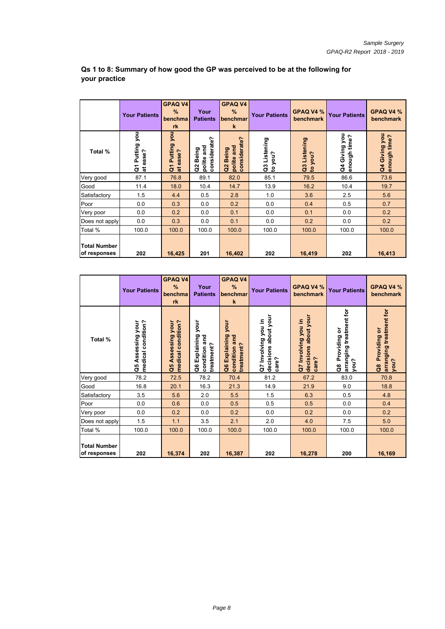|                                     | <b>Your Patients</b>                           | <b>GPAQ V4</b><br>$\%$<br>benchma<br>rk      | Your<br><b>Patients</b>                     | <b>GPAQ V4</b><br>%<br>benchmar<br>$\mathbf k$       | <b>Your Patients</b>                 | GPAQ V4 %<br>benchmark               | <b>Your Patients</b>            | GPAQ V4 %<br>benchmark        |
|-------------------------------------|------------------------------------------------|----------------------------------------------|---------------------------------------------|------------------------------------------------------|--------------------------------------|--------------------------------------|---------------------------------|-------------------------------|
| Total %                             | you<br>Putting<br>ease?<br>$\overline{c}$<br>ä | you<br>Putting<br>at ease?<br>$\overline{G}$ | considerate?<br>and<br>Being<br>polite<br>8 | considerate?<br>polite and<br><b>Being</b><br>a<br>S | Q3 Listening<br>you?<br>$\mathbf{S}$ | Q3 Listening<br>you?<br>$\mathbf{e}$ | Q4 Giving you<br>time?<br>hough | Q4 Giving you<br>enough time? |
| Very good                           | 87.1                                           | 76.8                                         | 89.1                                        | 82.0                                                 | 85.1                                 | 79.5                                 | 86.6                            | 73.6                          |
| Good                                | 11.4                                           | 18.0                                         | 10.4                                        | 14.7                                                 | 13.9                                 | 16.2                                 | 10.4                            | 19.7                          |
| Satisfactory                        | 1.5                                            | 4.4                                          | 0.5                                         | 2.8                                                  | 1.0                                  | 3.6                                  | 2.5                             | 5.6                           |
| Poor                                | 0.0                                            | 0.3                                          | 0.0                                         | 0.2                                                  | 0.0                                  | 0.4                                  | 0.5                             | 0.7                           |
| Very poor                           | 0.0                                            | 0.2                                          | 0.0                                         | 0.1                                                  | 0.0                                  | 0.1                                  | 0.0                             | 0.2                           |
| Does not apply                      | 0.0                                            | 0.3                                          | 0.0                                         | 0.1                                                  | 0.0                                  | 0.2                                  | 0.0                             | 0.2                           |
| Total %                             | 100.0                                          | 100.0                                        | 100.0                                       | 100.0                                                | 100.0                                | 100.0                                | 100.0                           | 100.0                         |
| <b>Total Number</b><br>of responses | 202                                            | 16,425                                       | 201                                         | 16,402                                               | 202                                  | 16,419                               | 202                             | 16,413                        |

## **Qs 1 to 8: Summary of how good the GP was perceived to be at the following for your practice**

|                                     | <b>Your Patients</b>                      | <b>GPAQ V4</b><br>%<br>benchma<br>rk      | Your<br><b>Patients</b>                                | <b>GPAQ V4</b><br>%<br>benchmar<br>$\mathbf k$       | <b>Your Patients</b>                                 | GPAQ V4 %<br>benchmark                                  | <b>Your Patients</b>                                 | GPAQ V4 %<br>benchmark                               |
|-------------------------------------|-------------------------------------------|-------------------------------------------|--------------------------------------------------------|------------------------------------------------------|------------------------------------------------------|---------------------------------------------------------|------------------------------------------------------|------------------------------------------------------|
| Total %                             | medical condition?<br>Assessing your<br>å | medical condition?<br>Assessing your<br>å | your<br>Explaining<br>condition and<br>treatment?<br>å | your<br>Q6 Explaining<br>condition and<br>treatment? | decisions about your<br>Q7 Involving you in<br>care? | decisions about your<br>you in<br>Q7 Involving<br>care? | arranging treatment for<br>Providing or<br>you?<br>ី | arranging treatment for<br>Providing or<br>you?<br>å |
| Very good                           | 78.2                                      | 72.5                                      | 78.2                                                   | 70.4                                                 | 81.2                                                 | 67.2                                                    | 83.0                                                 | 70.8                                                 |
| Good                                | 16.8                                      | 20.1                                      | 16.3                                                   | 21.3                                                 | 14.9                                                 | 21.9                                                    | 9.0                                                  | 18.8                                                 |
| Satisfactory                        | 3.5                                       | 5.6                                       | 2.0                                                    | 5.5                                                  | 1.5                                                  | 6.3                                                     | 0.5                                                  | 4.8                                                  |
| Poor                                | 0.0                                       | 0.6                                       | 0.0                                                    | 0.5                                                  | 0.5                                                  | 0.5                                                     | 0.0                                                  | 0.4                                                  |
| Very poor                           | 0.0                                       | 0.2                                       | 0.0                                                    | 0.2                                                  | 0.0                                                  | 0.2                                                     | 0.0                                                  | 0.2                                                  |
| Does not apply                      | 1.5                                       | 1.1                                       | 3.5                                                    | 2.1                                                  | 2.0                                                  | 4.0                                                     | 7.5                                                  | 5.0                                                  |
| Total %                             | 100.0                                     | 100.0                                     | 100.0                                                  | 100.0                                                | 100.0                                                | 100.0                                                   | 100.0                                                | 100.0                                                |
| <b>Total Number</b><br>of responses | 202                                       | 16,374                                    | 202                                                    | 16,387                                               | 202                                                  | 16,278                                                  | 200                                                  | 16,169                                               |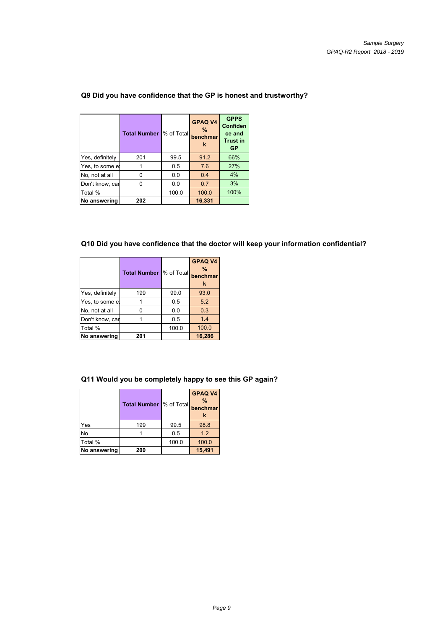|                 | <b>Total Number</b> | % of Total | <b>GPAQ V4</b><br>$\%$<br>benchmar<br>k | <b>GPPS</b><br><b>Confiden</b><br>ce and<br><b>Trust in</b><br><b>GP</b> |
|-----------------|---------------------|------------|-----------------------------------------|--------------------------------------------------------------------------|
| Yes, definitely | 201                 | 99.5       | 91.2                                    | 66%                                                                      |
| Yes, to some el |                     | 0.5        | 7.6                                     | 27%                                                                      |
| No, not at all  |                     | 0.0        | 0.4                                     | 4%                                                                       |
| Don't know, car |                     | 0.0        | 0.7                                     | 3%                                                                       |
| Total %         |                     | 100.0      | 100.0                                   | 100%                                                                     |
| No answering    | 202                 |            | 16,331                                  |                                                                          |

## **Q9 Did you have confidence that the GP is honest and trustworthy?**

## **Q10 Did you have confidence that the doctor will keep your information confidential?**

|                 | <b>Total Number  % of Total</b> |       | <b>GPAQ V4</b><br>$\frac{9}{6}$<br>benchmar<br>k |
|-----------------|---------------------------------|-------|--------------------------------------------------|
| Yes, definitely | 199                             | 99.0  | 93.0                                             |
| Yes, to some e  |                                 | 0.5   | 5.2                                              |
| No, not at all  | n                               | 0.0   | 0.3                                              |
| Don't know, car |                                 | 0.5   | 1.4                                              |
| Total %         |                                 | 100.0 | 100.0                                            |
| No answering    | 201                             |       | 16,286                                           |

#### **Q11 Would you be completely happy to see this GP again?**

|              | <b>Total Number</b> % of Total |       | GPAQ V4<br>$\frac{9}{6}$<br>benchmar<br>k |
|--------------|--------------------------------|-------|-------------------------------------------|
| Yes          | 199                            | 99.5  | 98.8                                      |
| No           |                                | 0.5   | 1.2                                       |
| Total %      |                                | 100.0 | 100.0                                     |
| No answering | 200                            |       | 15,491                                    |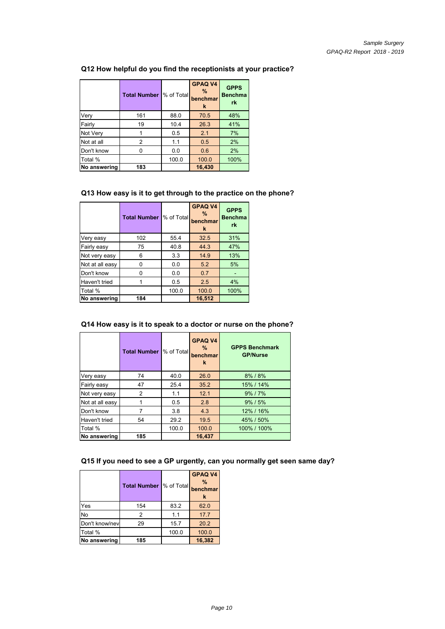#### **Q12 How helpful do you find the receptionists at your practice?**

|              | <b>Total Number</b> | % of Total | <b>GPAQ V4</b><br>$\frac{9}{6}$<br>benchmar<br>k | <b>GPPS</b><br><b>Benchma</b><br>rk |
|--------------|---------------------|------------|--------------------------------------------------|-------------------------------------|
| Very         | 161                 | 88.0       | 70.5                                             | 48%                                 |
| Fairly       | 19                  | 10.4       | 26.3                                             | 41%                                 |
| Not Very     |                     | 0.5        | 2.1                                              | 7%                                  |
| Not at all   | 2                   | 1.1        | 0.5                                              | 2%                                  |
| Don't know   |                     | 0.0        | 0.6                                              | 2%                                  |
| Total %      |                     | 100.0      | 100.0                                            | 100%                                |
| No answering | 183                 |            | 16,430                                           |                                     |

#### **Q13 How easy is it to get through to the practice on the phone?**

|                 | <b>Total Number</b> | % of Total | <b>GPAQ V4</b><br>$\frac{9}{6}$<br>benchmar<br>k | <b>GPPS</b><br><b>Benchma</b><br>rk |
|-----------------|---------------------|------------|--------------------------------------------------|-------------------------------------|
| Very easy       | 102                 | 55.4       | 32.5                                             | 31%                                 |
| Fairly easy     | 75                  | 40.8       | 44.3                                             | 47%                                 |
| Not very easy   | 6                   | 3.3        | 14.9                                             | 13%                                 |
| Not at all easy | 0                   | 0.0        | 5.2                                              | 5%                                  |
| Don't know      |                     | 0.0        | 0.7                                              |                                     |
| Haven't tried   |                     | 0.5        | 2.5                                              | 4%                                  |
| Total %         |                     | 100.0      | 100.0                                            | 100%                                |
| No answering    | 184                 |            | 16,512                                           |                                     |

## **Q14 How easy is it to speak to a doctor or nurse on the phone?**

|                 | <b>Total Number</b> | % of Total | <b>GPAQ V4</b><br>%<br>benchmar<br>k | <b>GPPS Benchmark</b><br><b>GP/Nurse</b> |
|-----------------|---------------------|------------|--------------------------------------|------------------------------------------|
| Very easy       | 74                  | 40.0       | 26.0                                 | 8% / 8%                                  |
| Fairly easy     | 47                  | 25.4       | 35.2                                 | 15% / 14%                                |
| Not very easy   | $\overline{2}$      | 1.1        | 12.1                                 | 9% / 7%                                  |
| Not at all easy |                     | 0.5        | 2.8                                  | $9\%$ / $5\%$                            |
| Don't know      |                     | 3.8        | 4.3                                  | 12% / 16%                                |
| Haven't tried   | 54                  | 29.2       | 19.5                                 | 45% / 50%                                |
| Total %         |                     | 100.0      | 100.0                                | 100% / 100%                              |
| No answering    | 185                 |            | 16,437                               |                                          |

#### **Q15 If you need to see a GP urgently, can you normally get seen same day?**

|                | <b>Total Number  % of Total</b> |       | <b>GPAQ V4</b><br>$\frac{9}{6}$<br>benchmar<br>k |
|----------------|---------------------------------|-------|--------------------------------------------------|
| Yes            | 154                             | 83.2  | 62.0                                             |
| <b>No</b>      | 2                               | 1.1   | 17.7                                             |
| Don't know/nev | 29                              | 15.7  | 20.2                                             |
| Total %        |                                 | 100.0 | 100.0                                            |
| No answering   | 185                             |       | 16,382                                           |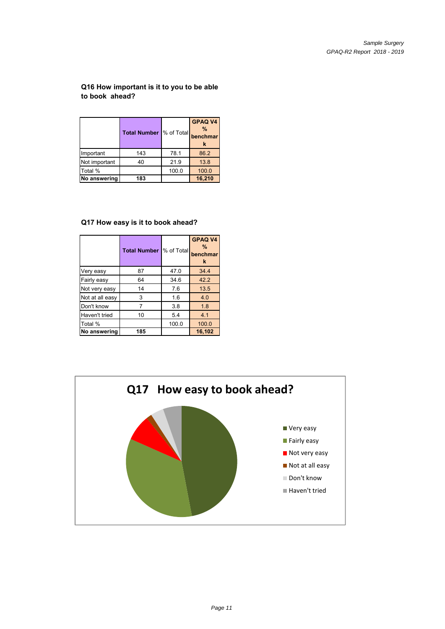#### **Q16 How important is it to you to be able to book ahead?**

|               | <b>Total Number</b> % of Total |       | <b>GPAQ V4</b><br>$\frac{9}{6}$<br>benchmar<br>к |
|---------------|--------------------------------|-------|--------------------------------------------------|
| Important     | 143                            | 78.1  | 86.2                                             |
| Not important | 40                             | 21.9  | 13.8                                             |
| Total %       |                                | 100.0 | 100.0                                            |
| No answering  | 183                            |       | 16,210                                           |

## **Q17 How easy is it to book ahead?**

|                 | <b>Total Number</b> | % of Total | <b>GPAQ V4</b><br>$\%$<br>benchmar<br>k |
|-----------------|---------------------|------------|-----------------------------------------|
| Very easy       | 87                  | 47.0       | 34.4                                    |
| Fairly easy     | 64                  | 34.6       | 42.2                                    |
| Not very easy   | 14                  | 7.6        | 13.5                                    |
| Not at all easy | 3                   | 1.6        | 4.0                                     |
| Don't know      |                     | 3.8        | 1.8                                     |
| Haven't tried   | 10                  | 5.4        | 4.1                                     |
| Total %         |                     | 100.0      | 100.0                                   |
| No answering    | 185                 |            | 16,102                                  |

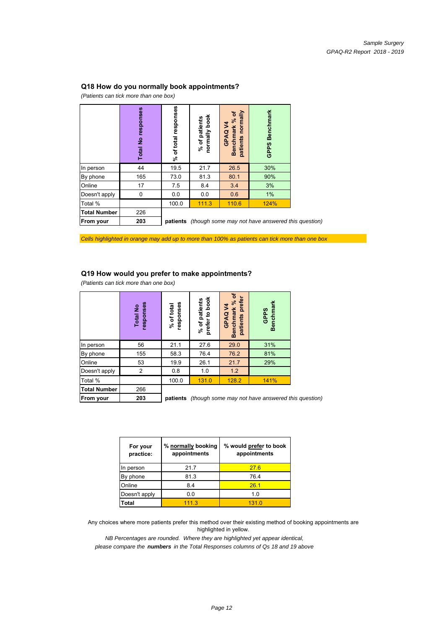#### **Q18 How do you normally book appointments?**

*(Patients can tick more than one box)*

|                     | responses<br>$\frac{1}{2}$<br>Total <sup>1</sup> | responses<br>of total<br>રું | normally book<br>of patients<br>$\overline{\mathcal{S}}$ | Benchmark % of<br>patients normally<br>GPAQ V4<br>patients | <b>Benchmark</b><br>GPPS                                          |  |
|---------------------|--------------------------------------------------|------------------------------|----------------------------------------------------------|------------------------------------------------------------|-------------------------------------------------------------------|--|
| In person           | 44                                               | 19.5                         | 21.7                                                     | 26.5                                                       | 30%                                                               |  |
| By phone            | 165                                              | 73.0                         | 81.3                                                     | 80.1                                                       | 90%                                                               |  |
| Online              | 17                                               | 7.5                          | 8.4                                                      | 3.4                                                        | 3%                                                                |  |
| Doesn't apply       | 0                                                | 0.0                          | 0.0                                                      | 0.6                                                        | 1%                                                                |  |
| Total %             |                                                  | 100.0                        | 111.3                                                    | 110.6                                                      | 124%                                                              |  |
| <b>Total Number</b> | 226                                              |                              |                                                          |                                                            |                                                                   |  |
| <b>From your</b>    | 203                                              |                              |                                                          |                                                            | <b>patients</b> (though some may not have answered this question) |  |

*Cells highlighted in orange may add up to more than 100% as patients can tick more than one box*

#### **Q19 How would you prefer to make appointments?**

*(Patients can tick more than one box) (Patients can tick more than one*

|                     | responses<br>£<br><b>Total</b> | responses<br>% of total | to book<br>patients<br>prefer<br>% of | ቴ<br>prefer<br>Benchmark %<br>3<br>GPAQ<br>patients | Benchmark<br>GPPS                                 |
|---------------------|--------------------------------|-------------------------|---------------------------------------|-----------------------------------------------------|---------------------------------------------------|
| In person           | 56                             | 21.1                    | 27.6                                  | 29.0                                                | 31%                                               |
| By phone            | 155                            | 58.3                    | 76.4                                  | 76.2                                                | 81%                                               |
| Online              | 53                             | 19.9                    | 26.1                                  | 21.7                                                | 29%                                               |
| Doesn't apply       | $\overline{2}$                 | 0.8                     | 1.0                                   | 1.2                                                 |                                                   |
| Total %             |                                | 100.0                   | 131.0                                 | 128.2                                               | 141%                                              |
| <b>Total Number</b> | 266                            |                         |                                       |                                                     |                                                   |
| <b>From your</b>    | 203                            | patients                |                                       |                                                     | (though some may not have answered this question) |

| For your<br>practice: | % normally booking<br>appointments | % would prefer to book<br>appointments |
|-----------------------|------------------------------------|----------------------------------------|
| In person             | 21.7                               | 276                                    |
| By phone              | 81.3                               | 76.4                                   |
| Online                | 8.4                                | 26 <sub>1</sub>                        |
| Doesn't apply         | 0.0                                | 1.0                                    |
| Total                 | 111.3                              | 131.0                                  |

Any choices where more patients prefer this method over their existing method of booking appointments are highlighted in yellow.

*NB Percentages are rounded. Where they are highlighted yet appear identical,*

*please compare the numbers in the Total Responses columns of Qs 18 and 19 above*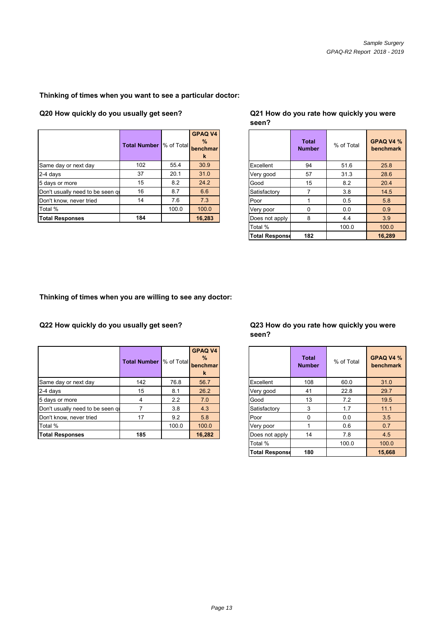## **Thinking of times when you want to see a particular doctor:**

**Q20 How quickly do you usually get seen? Q21 How do you rate how quickly you were** 

|                                  | <b>Total Number  % of Total</b> |       | <b>GPAQ V4</b><br>$\%$<br>benchmar<br>k |                | <b>Total</b><br><b>Number</b> | % of Total | <b>GPAQ</b><br>benchr |
|----------------------------------|---------------------------------|-------|-----------------------------------------|----------------|-------------------------------|------------|-----------------------|
| Same day or next day             | 102                             | 55.4  | 30.9                                    | Excellent      | 94                            | 51.6       |                       |
| $2-4$ days                       | 37                              | 20.1  | 31.0                                    | Very good      | 57                            | 31.3       |                       |
| 5 days or more                   | 15                              | 8.2   | 24.2                                    | Good           | 15                            | 8.2        |                       |
| Don't usually need to be seen qu | 16                              | 8.7   | 6.6                                     | Satisfactory   |                               | 3.8        |                       |
| Don't know, never tried          | 14                              | 7.6   | 7.3                                     | Poor           |                               | 0.5        |                       |
| Total %                          |                                 | 100.0 | 100.0                                   | Very poor      | $\Omega$                      | 0.0        |                       |
| <b>Total Responses</b>           | 184                             |       | 16,283                                  | Does not apply | 8                             | 4.4        |                       |

# **seen?**

| <b>Number</b> | % of Total | <b>GPAQ V4</b><br>$\%$<br>benchmar<br>k |                       | <b>Total</b><br><b>Number</b> | % of Total | GPAQ V4 %<br>benchmark |
|---------------|------------|-----------------------------------------|-----------------------|-------------------------------|------------|------------------------|
| 102           | 55.4       | 30.9                                    | Excellent             | 94                            | 51.6       | 25.8                   |
| 37            | 20.1       | 31.0                                    | Very good             | 57                            | 31.3       | 28.6                   |
| 15            | 8.2        | 24.2                                    | Good                  | 15                            | 8.2        | 20.4                   |
| 16            | 8.7        | 6.6                                     | Satisfactory          | 7                             | 3.8        | 14.5                   |
| 14            | 7.6        | 7.3                                     | Poor                  |                               | 0.5        | 5.8                    |
|               | 100.0      | 100.0                                   | Very poor             | $\Omega$                      | 0.0        | 0.9                    |
| 184           |            | 16,283                                  | Does not apply        | 8                             | 4.4        | 3.9                    |
|               |            |                                         | Total %               |                               | 100.0      | 100.0                  |
|               |            |                                         | <b>Total Response</b> | 182                           |            | 16,289                 |

#### **Thinking of times when you are willing to see any doctor:**

**Q22 How quickly do you usually get seen?**

|                                  | <b>Total Number  % of Total</b> |       | <b>GPAQ V4</b><br>$\%$<br>benchmar<br>k |                | <b>Total</b><br><b>Number</b> | % of Total | <b>GPAQ</b><br>benchr |
|----------------------------------|---------------------------------|-------|-----------------------------------------|----------------|-------------------------------|------------|-----------------------|
| Same day or next day             | 142                             | 76.8  | 56.7                                    | Excellent      | 108                           | 60.0       | 31.1                  |
| $2-4$ days                       | 15                              | 8.1   | 26.2                                    | Very good      | 41                            | 22.8       | 29.                   |
| 5 days or more                   | 4                               | 2.2   | 7.0                                     | Good           | 13                            | 7.2        | 19.5                  |
| Don't usually need to be seen qu |                                 | 3.8   | 4.3                                     | Satisfactory   | 3                             | 1.7        | 11.                   |
| Don't know, never tried          | 17                              | 9.2   | 5.8                                     | Poor           |                               | 0.0        |                       |
| Total %                          |                                 | 100.0 | 100.0                                   | Very poor      |                               | 0.6        |                       |
| <b>Total Responses</b>           | 185                             |       | 16,282                                  | Does not apply | 14                            | 7.8        |                       |

#### **Q23 How do you rate how quickly you were seen?**

| <b>Number</b>  | % of Total | <b>GPAQ V4</b><br>$\%$<br>benchmar<br>$\mathbf k$ |                       | <b>Total</b><br><b>Number</b> | % of Total | GPAQ V4 %<br>benchmark |
|----------------|------------|---------------------------------------------------|-----------------------|-------------------------------|------------|------------------------|
| 142            | 76.8       | 56.7                                              | Excellent             | 108                           | 60.0       | 31.0                   |
| 15             | 8.1        | 26.2                                              | Very good             | 41                            | 22.8       | 29.7                   |
| $\overline{4}$ | 2.2        | 7.0                                               | Good                  | 13                            | 7.2        | 19.5                   |
| $\overline{7}$ | 3.8        | 4.3                                               | Satisfactory          | 3                             | 1.7        | 11.1                   |
| 17             | 9.2        | 5.8                                               | Poor                  | $\Omega$                      | 0.0        | 3.5                    |
|                | 100.0      | 100.0                                             | Very poor             |                               | 0.6        | 0.7                    |
| 185            |            | 16,282                                            | Does not apply        | 14                            | 7.8        | 4.5                    |
|                |            |                                                   | Total %               |                               | 100.0      | 100.0                  |
|                |            |                                                   | <b>Total Response</b> | 180                           |            | 15,668                 |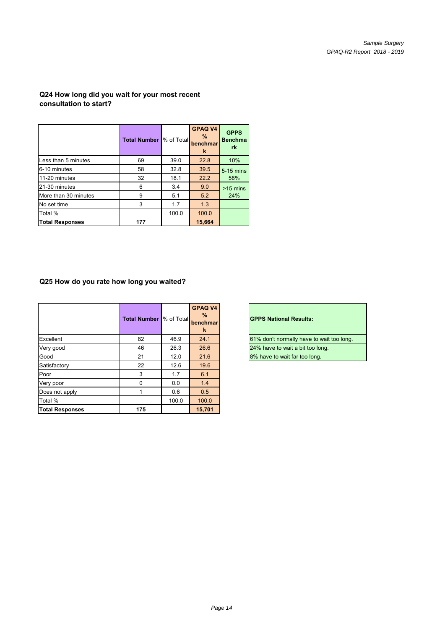## **Q24 How long did you wait for your most recent consultation to start?**

|                        | <b>Total Number</b> | % of Total | <b>GPAQ V4</b><br>%<br>benchmar<br>k | <b>GPPS</b><br><b>Benchma</b><br>rk |
|------------------------|---------------------|------------|--------------------------------------|-------------------------------------|
| Less than 5 minutes    | 69                  | 39.0       | 22.8                                 | 10%                                 |
| 6-10 minutes           | 58                  | 32.8       | 39.5                                 | 5-15 mins                           |
| 11-20 minutes          | 32                  | 18.1       | 22.2                                 | 58%                                 |
| 21-30 minutes          | 6                   | 3.4        | 9.0                                  | $>15$ mins                          |
| More than 30 minutes   | 9                   | 5.1        | 5.2                                  | 24%                                 |
| No set time            | 3                   | 1.7        | 1.3                                  |                                     |
| Total %                |                     | 100.0      | 100.0                                |                                     |
| <b>Total Responses</b> | 177                 |            | 15,664                               |                                     |

#### **Q25 How do you rate how long you waited?**

|                        | <b>Total Number  % of Total</b> |       | <b>GPAQ V4</b><br>%<br>benchmar<br>k | <b>GPPS National Results:</b>             |
|------------------------|---------------------------------|-------|--------------------------------------|-------------------------------------------|
| Excellent              | 82                              | 46.9  | 24.1                                 | 61% don't normally have to wait too long. |
| Very good              | 46                              | 26.3  | 26.6                                 | 24% have to wait a bit too long.          |
| Good                   | 21                              | 12.0  | 21.6                                 | 8% have to wait far too long.             |
| Satisfactory           | 22                              | 12.6  | 19.6                                 |                                           |
| Poor                   | 3                               | 1.7   | 6.1                                  |                                           |
| Very poor              | 0                               | 0.0   | 1.4                                  |                                           |
| Does not apply         |                                 | 0.6   | 0.5                                  |                                           |
| Total %                |                                 | 100.0 | 100.0                                |                                           |
| <b>Total Responses</b> | 175                             |       | 15.701                               |                                           |

| 61% don't normally have to wait too long. |
|-------------------------------------------|
| 24% have to wait a bit too long.          |
| 8% have to wait far too long.             |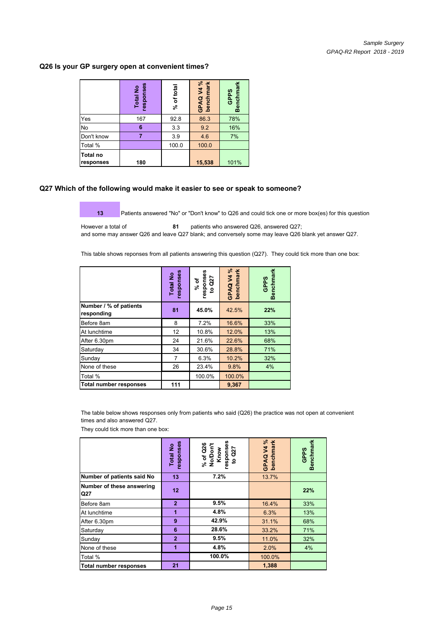#### **Q26 Is your GP surgery open at convenient times?**

|                              | responses<br><b>Total No</b> | % of total | GPAQ V4 %<br>benchmark | <b>Benchmark</b><br><b>GPPS</b> |
|------------------------------|------------------------------|------------|------------------------|---------------------------------|
| Yes                          | 167                          | 92.8       | 86.3                   | 78%                             |
| No                           | 6                            | 3.3        | 9.2                    | 16%                             |
| Don't know                   |                              | 3.9        | 4.6                    | 7%                              |
| Total %                      |                              | 100.0      | 100.0                  |                                 |
| <b>Total no</b><br>responses | 180                          |            | 15,538                 | 101%                            |

#### **Q27 Which of the following would make it easier to see or speak to someone?**

**13** Patients answered "No" or "Don't know" to Q26 and could tick one or more box(es) for this question

However a total of **81** patients who answered Q26, answered Q27; and some may answer Q26 and leave Q27 blank; and conversely some may leave Q26 blank yet answer Q27.

This table shows reponses from all patients answering this question (Q27). They could tick more than one box:

|                                      | responses<br><b>Total No</b> | responses<br>Q27<br>% of<br>٩ | GPAQ V4 %<br>benchmark | <b>Benchmark</b><br>GPPS |
|--------------------------------------|------------------------------|-------------------------------|------------------------|--------------------------|
| Number / % of patients<br>responding | 81                           | 45.0%                         | 42.5%                  | 22%                      |
| Before 8am                           | 8                            | 7.2%                          | 16.6%                  | 33%                      |
| At lunchtime                         | 12                           | 10.8%                         | 12.0%                  | 13%                      |
| After 6.30pm                         | 24                           | 21.6%                         | 22.6%                  | 68%                      |
| Saturday                             | 34                           | 30.6%                         | 28.8%                  | 71%                      |
| Sunday                               | 7                            | 6.3%                          | 10.2%                  | 32%                      |
| None of these                        | 26                           | 23.4%                         | 9.8%                   | 4%                       |
| Total %                              |                              | 100.0%                        | 100.0%                 |                          |
| Total number responses               | 111                          |                               | 9,367                  |                          |

The table below shows responses only from patients who said (Q26) the practice was not open at convenient times and also answered Q27.

They could tick more than one box:

|                                  | responses<br>Total No | responses<br>% of Q26<br>No/Don't<br>Know<br>Q27<br>$\mathbf{S}$ | GPAQ V4 %<br>benchmark | <b>Benchmark</b><br><b>GPPS</b> |
|----------------------------------|-----------------------|------------------------------------------------------------------|------------------------|---------------------------------|
| Number of patients said No       | 13                    | 7.2%                                                             | 13.7%                  |                                 |
| Number of these answering<br>Q27 | 12 <sub>2</sub>       |                                                                  |                        | 22%                             |
| Before 8am                       | $\overline{2}$        | 9.5%                                                             | 16.4%                  | 33%                             |
| At lunchtime                     | 1                     | 4.8%                                                             | 6.3%                   | 13%                             |
| After 6.30pm                     | 9                     | 42.9%                                                            | 31.1%                  | 68%                             |
| Saturday                         | 6                     | 28.6%                                                            | 33.2%                  | 71%                             |
| Sunday                           | $\overline{2}$        | 9.5%                                                             | 11.0%                  | 32%                             |
| None of these                    | 1                     | 4.8%                                                             | 2.0%                   | 4%                              |
| Total %                          |                       | 100.0%                                                           | 100.0%                 |                                 |
| <b>Total number responses</b>    | 21                    |                                                                  | 1,388                  |                                 |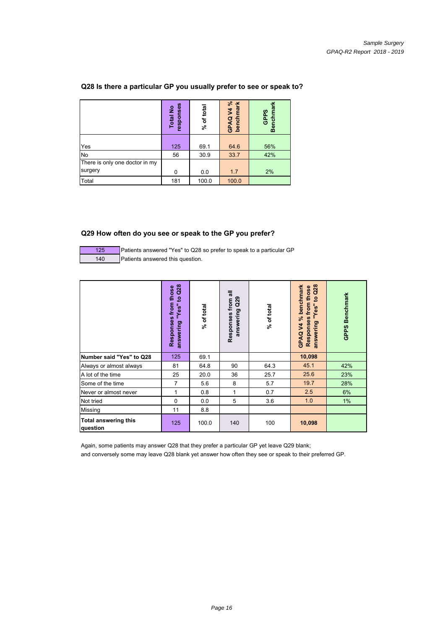|                                           | responses<br><b>Total No</b> | % of total | GPAQ V4 %<br>benchmark | Benchmar<br><b>GPPS</b> |
|-------------------------------------------|------------------------------|------------|------------------------|-------------------------|
| Yes                                       | 125                          | 69.1       | 64.6                   | 56%                     |
| No                                        | 56                           | 30.9       | 33.7                   | 42%                     |
| There is only one doctor in my<br>surgery | 0                            | 0.0        | 1.7                    | 2%                      |
| Total                                     | 181                          | 100.0      | 100.0                  |                         |

## **Q28 Is there a particular GP you usually prefer to see or speak to?**

#### **Q29 How often do you see or speak to the GP you prefer?**

125 Patients answered "Yes" to Q28 so prefer to speak to a particular GP 140 Patients answered this question.

|                                         | Q <sub>2</sub> 8<br>from those<br>ð,<br>"Yes"<br>Responses<br>answering | % of total | ᠊ᢛ<br>Q29<br>Responses from<br>answering | % of total | Q28<br>GPAQ V4 % benchmark<br>from those<br>$\mathbf{S}$<br>"Yes"<br>Responses<br>answering | <b>Benchmark</b><br><b>GPPS</b> |
|-----------------------------------------|-------------------------------------------------------------------------|------------|------------------------------------------|------------|---------------------------------------------------------------------------------------------|---------------------------------|
| Number said "Yes" to Q28                | 125                                                                     | 69.1       |                                          |            | 10,098                                                                                      |                                 |
| Always or almost always                 | 81                                                                      | 64.8       | 90                                       | 64.3       | 45.1                                                                                        | 42%                             |
| A lot of the time                       | 25                                                                      | 20.0       | 36                                       | 25.7       | 25.6                                                                                        | 23%                             |
| Some of the time                        | $\overline{7}$                                                          | 5.6        | 8                                        | 5.7        | 19.7                                                                                        | 28%                             |
| Never or almost never                   | 1                                                                       | 0.8        | 1                                        | 0.7        | 2.5                                                                                         | 6%                              |
| Not tried                               | $\mathbf 0$                                                             | 0.0        | 5                                        | 3.6        | 1.0                                                                                         | 1%                              |
| <b>Missing</b>                          | 11                                                                      | 8.8        |                                          |            |                                                                                             |                                 |
| <b>Total answering this</b><br>question | 125                                                                     | 100.0      | 140                                      | 100        | 10,098                                                                                      |                                 |

Again, some patients may answer Q28 that they prefer a particular GP yet leave Q29 blank; and conversely some may leave Q28 blank yet answer how often they see or speak to their preferred GP.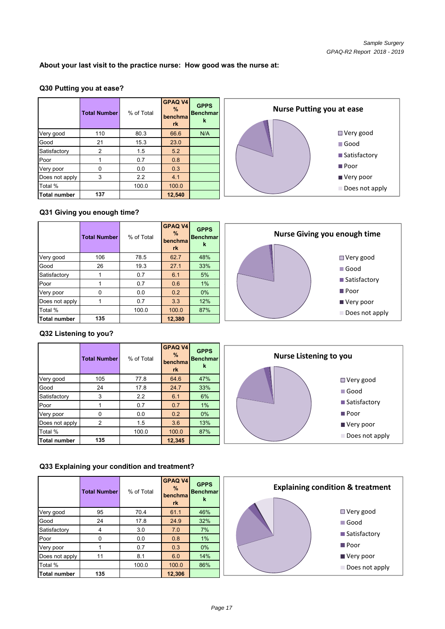## **About your last visit to the practice nurse: How good was the nurse at:**

#### **Q30 Putting you at ease?**

|                     | <b>Total Number</b> | % of Total | <b>GPAQ V4</b><br>$\%$<br>benchma<br>rk | <b>GPPS</b><br><b>Benchmar</b><br>k |
|---------------------|---------------------|------------|-----------------------------------------|-------------------------------------|
| Very good           | 110                 | 80.3       | 66.6                                    | N/A                                 |
| Good                | 21                  | 15.3       | 23.0                                    |                                     |
| Satisfactory        | $\overline{2}$      | 1.5        | 5.2                                     |                                     |
| Poor                |                     | 0.7        | 0.8                                     |                                     |
| Very poor           | n                   | 0.0        | 0.3                                     |                                     |
| Does not apply      | 3                   | 2.2        | 4.1                                     |                                     |
| Total %             |                     | 100.0      | 100.0                                   |                                     |
| <b>Total number</b> | 137                 |            | 12,540                                  |                                     |



#### **Q31 Giving you enough time?**

|                | <b>Total Number</b> | % of Total | GPAQ V4<br>$\%$<br>benchma<br>rk | <b>GPPS</b><br><b>Benchmar</b><br>k | Nurse Giving you enough time |
|----------------|---------------------|------------|----------------------------------|-------------------------------------|------------------------------|
| Very good      | 106                 | 78.5       | 62.7                             | 48%                                 | $\Box$ Very good             |
| Good           | 26                  | 19.3       | 27.1                             | 33%                                 | $\blacksquare$ Good          |
| Satisfactory   |                     | 0.7        | 6.1                              | 5%                                  |                              |
| Poor           |                     | 0.7        | 0.6                              | 1%                                  | ■ Satisfactory               |
| Very poor      | 0                   | 0.0        | 0.2                              | $0\%$                               | $\blacksquare$ Poor          |
| Does not apply |                     | 0.7        | 3.3                              | 12%                                 | $\blacksquare$ Very poor     |
| Total %        |                     | 100.0      | 100.0                            | 87%                                 | Does not apply               |
| Total number   | 135                 |            | 12,380                           |                                     |                              |

#### **Q32 Listening to you?**

|                     | <b>Total Number</b> | % of Total | GPAQ V4<br>$\%$<br>benchma<br>rk | <b>GPPS</b><br><b>Benchmar</b><br>k | <b>Nurse Listening to you</b> |
|---------------------|---------------------|------------|----------------------------------|-------------------------------------|-------------------------------|
| Very good           | 105                 | 77.8       | 64.6                             | 47%                                 | $\blacksquare$ Very good      |
| Good                | 24                  | 17.8       | 24.7                             | 33%                                 | $\blacksquare$ Good           |
| Satisfactory        | 3                   | 2.2        | 6.1                              | 6%                                  |                               |
| Poor                |                     | 0.7        | 0.7                              | $1\%$                               | ■ Satisfactory                |
| Very poor           | 0                   | 0.0        | 0.2                              | $0\%$                               | $\blacksquare$ Poor           |
| Does not apply      | 2                   | 1.5        | 3.6                              | 13%                                 | ■ Very poor                   |
| Total %             |                     | 100.0      | 100.0                            | 87%                                 |                               |
| <b>Total number</b> | 135                 |            | 12,345                           |                                     | Does not apply                |

#### **Q33 Explaining your condition and treatment?**

|                     | <b>Total Number</b> | % of Total | <b>GPAQ V4</b><br>$\%$<br>benchmal<br>rk | <b>GPPS</b><br>Benchmar<br>k | <b>Explaining condition &amp; treatment</b> |
|---------------------|---------------------|------------|------------------------------------------|------------------------------|---------------------------------------------|
| Very good           | 95                  | 70.4       | 61.1                                     | 46%                          | $\Box$ Very good                            |
| Good                | 24                  | 17.8       | 24.9                                     | 32%                          | $\blacksquare$ Good                         |
| Satisfactory        | 4                   | 3.0        | 7.0                                      | 7%                           | ■ Satisfactory                              |
| Poor                |                     | 0.0        | 0.8                                      | $1\%$                        |                                             |
| Very poor           |                     | 0.7        | 0.3                                      | $0\%$                        | $\blacksquare$ Poor                         |
| Does not apply      | 11                  | 8.1        | 6.0                                      | 14%                          | ■ Very poor                                 |
| Total %             |                     | 100.0      | 100.0                                    | 86%                          | Does not apply                              |
| <b>Total number</b> | 135                 |            | 12,306                                   |                              |                                             |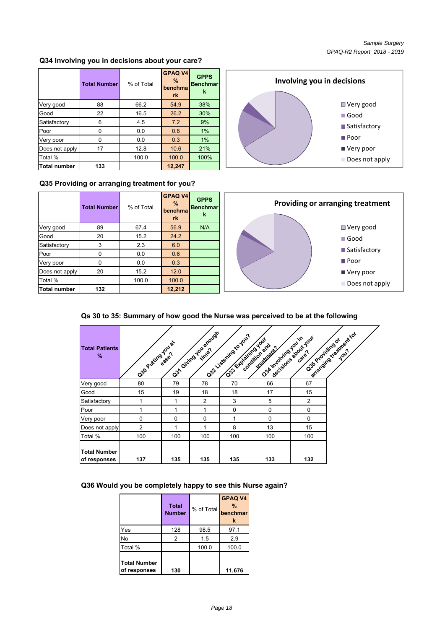Very good

Does not apply Does not

#### **Q34 Involving you in decisions about your care?**

|                | <b>Total Number</b> | % of Total | <b>GPAQ V4</b><br>$\%$<br>benchma<br>rk | <b>GPPS</b><br><b>Benchmar</b><br>k |
|----------------|---------------------|------------|-----------------------------------------|-------------------------------------|
| Very good      | 88                  | 66.2       | 54.9                                    | 38%                                 |
| Good           | 22                  | 16.5       | 26.2                                    | 30%                                 |
| Satisfactory   | 6                   | 4.5        | 7.2                                     | 9%                                  |
| Poor           | 0                   | 0.0        | 0.8                                     | 1%                                  |
| Very poor      | n                   | 0.0        | 0.3                                     | 1%                                  |
| Does not apply | 17                  | 12.8       | 10.6                                    | 21%                                 |
| Total %        |                     | 100.0      | 100.0                                   | 100%                                |
| Total number   | 133                 |            | 12.247                                  |                                     |

#### **Q35 Providing or arranging treatment for you?**

|                     | <b>Total Number</b> | % of Total | <b>GPAQ V4</b><br>$\%$<br>benchma<br>rk | <b>GPPS</b><br><b>Benchmar</b><br>k |
|---------------------|---------------------|------------|-----------------------------------------|-------------------------------------|
| Very good           | 89                  | 67.4       | 56.9                                    | N/A                                 |
| Good                | 20                  | 15.2       | 24.2                                    |                                     |
| Satisfactory        | 3                   | 2.3        | 6.0                                     |                                     |
| Poor                | N                   | 0.0        | 0.6                                     |                                     |
| Very poor           |                     | 0.0        | 0.3                                     |                                     |
| Does not apply      | 20                  | 15.2       | 12.0                                    |                                     |
| Total %             |                     | 100.0      | 100.0                                   |                                     |
| <b>Total number</b> | 132                 |            | 12,212                                  |                                     |



**Involving you in decisions**

#### **Qs 30 to 35: Summary of how good the Nurse was perceived to be at the following**

| <b>Total Patients</b><br>%          | Ospoziting vous |             | O31 Guinayou enough | O22 Listering to you.<br>Case to a wines your | Oskympating you.in<br>condition and<br><b>ITeatrophil</b> | decisions about your<br>Oss Projiding of | arranging tradition for |
|-------------------------------------|-----------------|-------------|---------------------|-----------------------------------------------|-----------------------------------------------------------|------------------------------------------|-------------------------|
| Very good                           | 80              | 79          | 78                  | 70                                            | 66                                                        | 67                                       |                         |
| Good                                | 15              | 19          | 18                  | 18                                            | 17                                                        | 15                                       |                         |
| Satisfactory                        |                 | 1           | $\overline{2}$      | 3                                             | 5                                                         | 2                                        |                         |
| Poor                                |                 | 1           | 1                   | $\mathbf 0$                                   | $\mathbf 0$                                               | $\mathbf 0$                              |                         |
| Very poor                           | $\Omega$        | $\mathbf 0$ | $\Omega$            | 1                                             | $\Omega$                                                  | $\Omega$                                 |                         |
| Does not apply                      | $\overline{2}$  | 1           | 1                   | 8                                             | 13                                                        | 15                                       |                         |
| Total %                             | 100             | 100         | 100                 | 100                                           | 100                                                       | 100                                      |                         |
| <b>Total Number</b><br>of responses | 137             | 135         | 135                 | 135                                           | 133                                                       | 132                                      |                         |

#### **Q36 Would you be completely happy to see this Nurse again?**

|                                     | <b>Total</b><br><b>Number</b> | % of Total | <b>GPAQ V4</b><br>$\frac{9}{6}$<br>benchmar<br>k |
|-------------------------------------|-------------------------------|------------|--------------------------------------------------|
| Yes                                 | 128                           | 98.5       | 97.1                                             |
| No                                  | 2                             | 1.5        | 2.9                                              |
| Total %                             |                               | 100.0      | 100.0                                            |
| <b>Total Number</b><br>of responses | 130                           |            | 11,676                                           |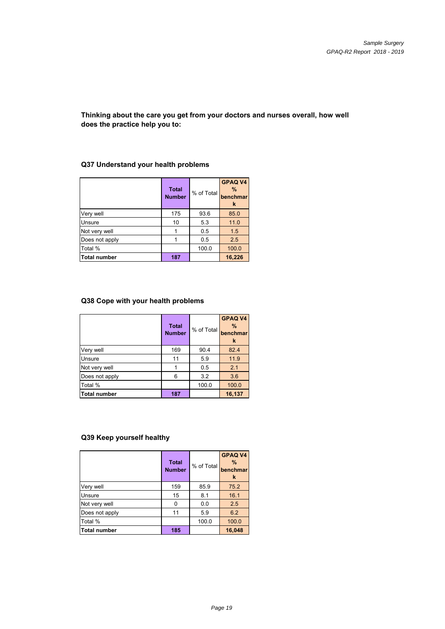#### **Thinking about the care you get from your doctors and nurses overall, how well does the practice help you to:**

#### **Total Number** % of Total **GPAQ V4 % benchmar k** 175 93.6 85.0 10 | 5.3 | 11.0 1 0.5 1.5 1 0.5 2.5 Total % 100.0 100.0 100.0 **187 16,226** Not very well Does not apply Unsure Very well **Total number**

## **Q37 Understand your health problems**

## **Q38 Cope with your health problems**

|                     | <b>Total</b><br><b>Number</b> | % of Total | <b>GPAQ V4</b><br>$\%$<br>benchmar<br>k |
|---------------------|-------------------------------|------------|-----------------------------------------|
| Very well           | 169                           | 90.4       | 82.4                                    |
| Unsure              | 11                            | 5.9        | 11.9                                    |
| Not very well       |                               | 0.5        | 2.1                                     |
| Does not apply      | 6                             | 3.2        | 3.6                                     |
| Total %             |                               | 100.0      | 100.0                                   |
| <b>Total number</b> | 187                           |            | 16,137                                  |

## **Q39 Keep yourself healthy**

|                | <b>Total</b><br><b>Number</b> | % of Total | <b>GPAQ V4</b><br>$\%$<br>benchmar<br>k |
|----------------|-------------------------------|------------|-----------------------------------------|
| Very well      | 159                           | 85.9       | 75.2                                    |
| Unsure         | 15                            | 8.1        | 16.1                                    |
| Not very well  | 0                             | 0.0        | 2.5                                     |
| Does not apply | 11                            | 5.9        | 6.2                                     |
| Total %        |                               | 100.0      | 100.0                                   |
| Total number   | 185                           |            | 16,048                                  |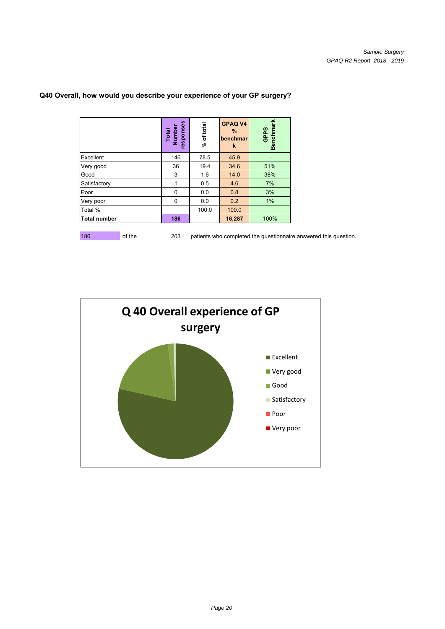|                     | responses<br>Total<br>Number | of tota<br>گ<br>ج | <b>GPAQ V4</b><br>%<br>benchmar<br>k | <b>Benchmark</b><br><b>GPPS</b> |
|---------------------|------------------------------|-------------------|--------------------------------------|---------------------------------|
| Excellent           | 146                          | 78.5              | 45.9                                 |                                 |
| Very good           | 36                           | 19.4              | 34.6                                 | 51%                             |
| Good                | 3                            | 1.6               | 14.0                                 | 38%                             |
| Satisfactory        | 1                            | 0.5               | 4.6                                  | 7%                              |
| Poor                | $\Omega$                     | 0.0               | 0.8                                  | 3%                              |
| Very poor           | $\Omega$                     | 0.0               | 0.2                                  | 1%                              |
| Total %             |                              | 100.0             | 100.0                                |                                 |
| <b>Total number</b> | 186                          |                   | 16,287                               | 100%                            |

## **Q40 Overall, how would you describe your experience of your GP surgery?**

186 of the 203 patients who completed the questionnaire answered this question.

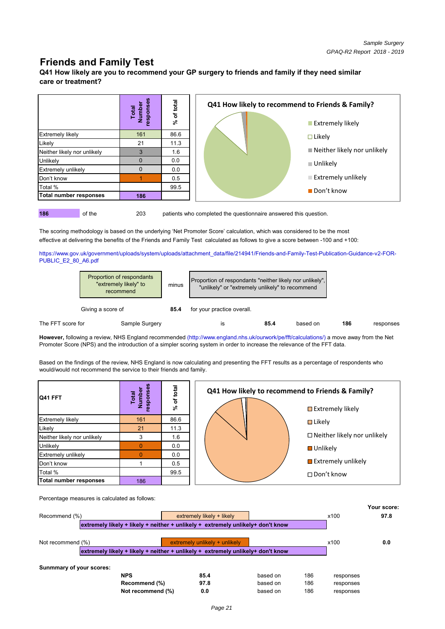# **Friends and Family Test**

**Q41 How likely are you to recommend your GP surgery to friends and family if they need similar care or treatment?**



**186** of the 203 patients who completed the questionnaire answered this question.

The scoring methodology is based on the underlying 'Net Promoter Score' calculation, which was considered to be the most effective at delivering the benefits of the Friends and Family Test calculated as follows to give a score between -100 and +100:

https://www.gov.uk/government/uploads/system/uploads/attachment\_data/file/214941/Friends-and-Family-Test-Publication-Guidance-v2-FOR-PUBLIC\_E2\_80\_A6.pdf

|                   | Proportion of respondants<br>"extremely likely" to<br>minus<br>recommend |                | Proportion of respondants "neither likely nor unlikely",<br>"unlikely" or "extremely unlikely" to recommend |      |          |     |           |
|-------------------|--------------------------------------------------------------------------|----------------|-------------------------------------------------------------------------------------------------------------|------|----------|-----|-----------|
|                   | Giving a score of                                                        | 85.4           | for your practice overall.                                                                                  |      |          |     |           |
| The FFT score for |                                                                          | Sample Surgery | İS                                                                                                          | 85.4 | based on | 186 | responses |

**However,** following a review, NHS England recommended (http://www.england.nhs.uk/ourwork/pe/fft/calculations/) a move away from the Net Promoter Score (NPS) and the introduction of a simpler scoring system in order to increase the relevance of the FFT data.

Based on the findings of the review, NHS England is now calculating and presenting the FFT results as a percentage of respondents who would/would not recommend the service to their friends and family.

| Q41 FFT                     | esponses<br>Number<br>Total | % of total | Q41 How likely to recommend to Friends & Family?<br>$\blacksquare$ Extremely likely |
|-----------------------------|-----------------------------|------------|-------------------------------------------------------------------------------------|
| <b>Extremely likely</b>     | 161                         | 86.6       | $\blacksquare$ Likely                                                               |
| Likely                      | 21                          | 11.3       |                                                                                     |
| Neither likely nor unlikely |                             | 1.6        | □ Neither likely nor unlikely                                                       |
| Unlikely                    |                             | 0.0        | <b>■</b> Unlikely                                                                   |
| <b>Extremely unlikely</b>   |                             | 0.0        |                                                                                     |
| Don't know                  |                             | 0.5        | $\blacksquare$ Extremely unlikely                                                   |
| Total %                     |                             | 99.5       | $\Box$ Don't know                                                                   |
| Total number responses      | 186                         |            |                                                                                     |

Percentage measures is calculated as follows:

|                          |                   |                                                                                 |          |     |           | Your score: |
|--------------------------|-------------------|---------------------------------------------------------------------------------|----------|-----|-----------|-------------|
| Recommend (%)            |                   | extremely likely + likely                                                       |          |     | x100      | 97.8        |
|                          |                   | extremely likely + likely + neither + unlikely + extremely unlikely+ don't know |          |     |           |             |
| Not recommend $(\%)$     |                   | $extremely$ unlikely $+$ unlikely                                               |          |     | x100      | 0.0         |
|                          |                   | extremely likely + likely + neither + unlikely + extremely unlikely+ don't know |          |     |           |             |
| Sunmmary of your scores: |                   |                                                                                 |          |     |           |             |
|                          | <b>NPS</b>        | 85.4                                                                            | based on | 186 | responses |             |
|                          | Recommend (%)     | 97.8                                                                            | based on | 186 | responses |             |
|                          | Not recommend (%) | 0.0                                                                             | based on | 186 | responses |             |